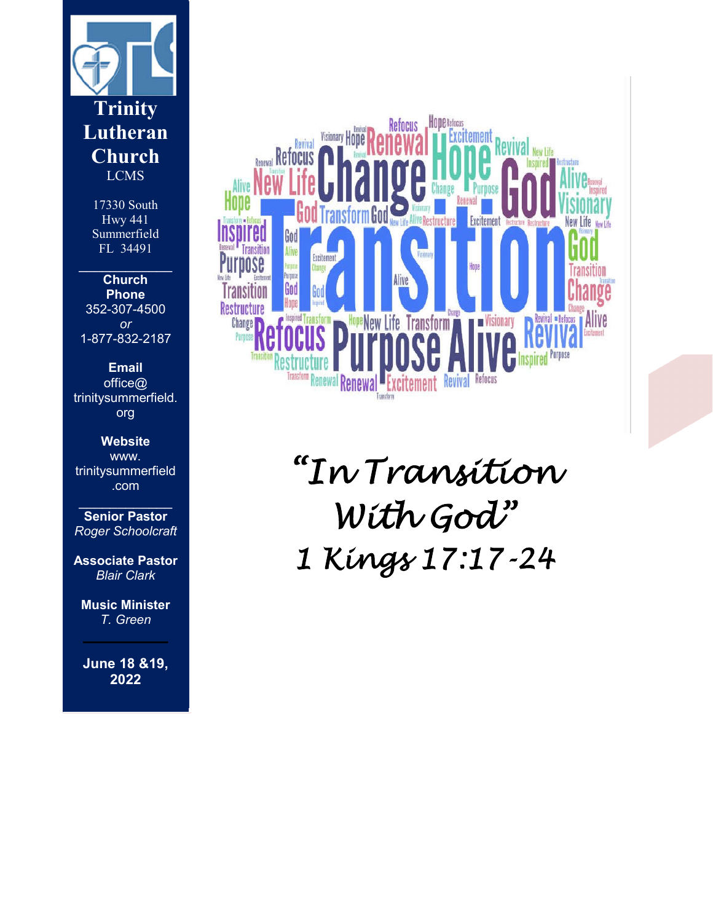

17330 South Hwy 441 Summerfield FL 34491

 $\overline{\phantom{a}}$ 

**Church Phone** 352-307-4500 *or* 1-877-832-2187

**Email** office@ trinitysummerfield. org

**Website** www. trinitysummerfield .com

 $\frac{1}{2}$  , where  $\frac{1}{2}$  , where  $\frac{1}{2}$ **Senior Pastor** *Roger Schoolcraft*

**Associate Pastor** *Blair Clark*

**Music Minister** *T. Green*

**June 18 &19, 2022**



*"In Transition With God" 1 Kings 17:17-24*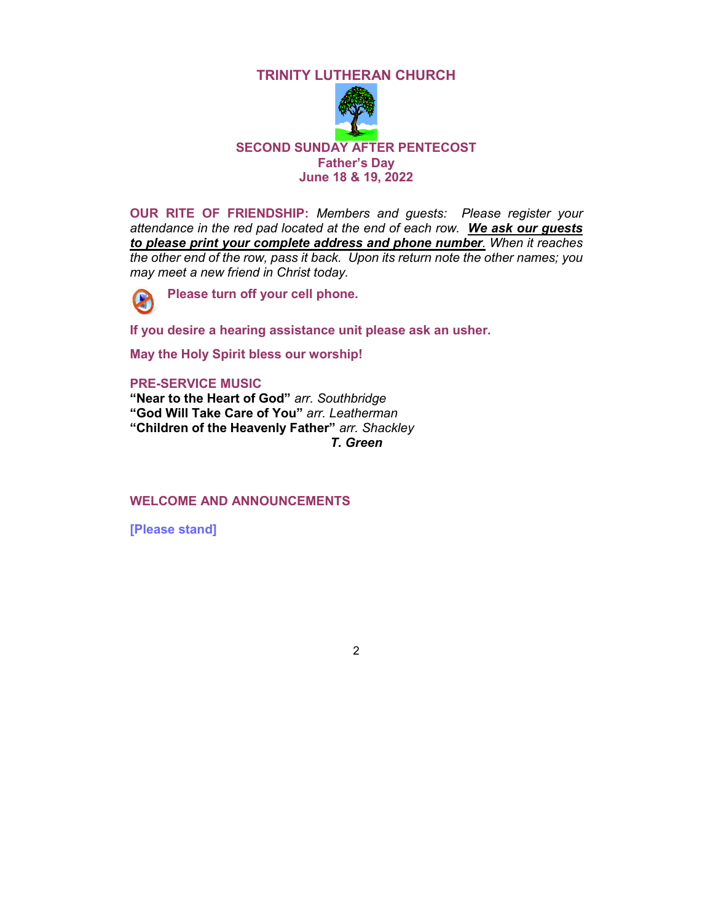# **TRINITY LUTHERAN CHURCH**



**OUR RITE OF FRIENDSHIP:** *Members and guests: Please register your attendance in the red pad located at the end of each row. We ask our guests to please print your complete address and phone number. When it reaches the other end of the row, pass it back. Upon its return note the other names; you may meet a new friend in Christ today.* 



**Please turn off your cell phone.** 

**If you desire a hearing assistance unit please ask an usher.**

**May the Holy Spirit bless our worship!**

#### **PRE-SERVICE MUSIC**

**"Near to the Heart of God"** *arr. Southbridge* **"God Will Take Care of You"** *arr. Leatherman* **"Children of the Heavenly Father"** *arr. Shackley T. Green*

# **WELCOME AND ANNOUNCEMENTS**

**[Please stand]**

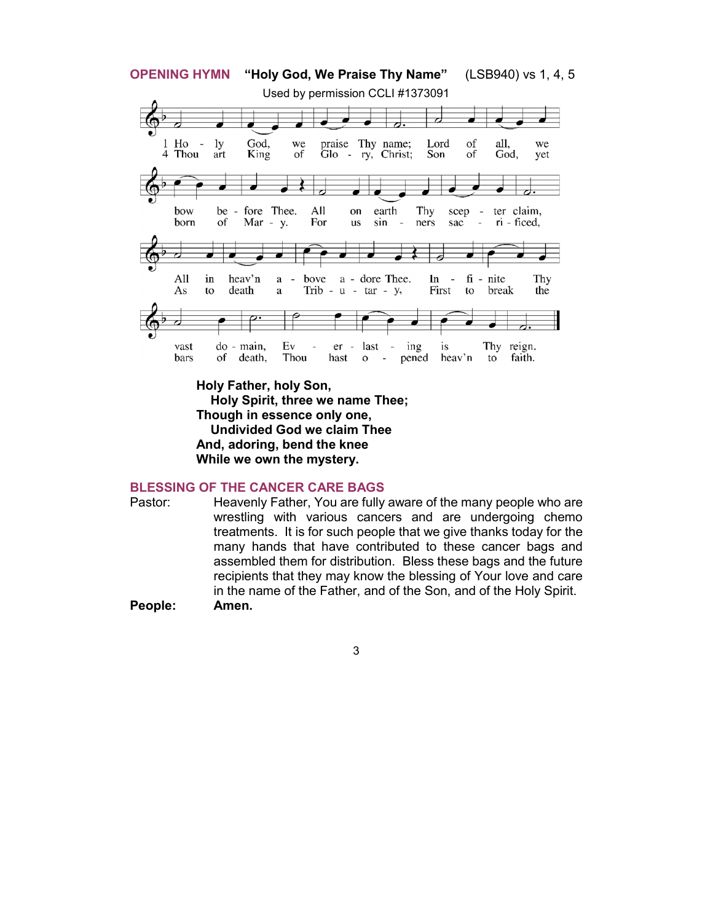

**Holy Father, holy Son, Holy Spirit, three we name Thee; Though in essence only one, Undivided God we claim Thee And, adoring, bend the knee While we own the mystery.**

# **BLESSING OF THE CANCER CARE BAGS**

Pastor: Heavenly Father, You are fully aware of the many people who are wrestling with various cancers and are undergoing chemo treatments. It is for such people that we give thanks today for the many hands that have contributed to these cancer bags and assembled them for distribution. Bless these bags and the future recipients that they may know the blessing of Your love and care in the name of the Father, and of the Son, and of the Holy Spirit. **People: Amen.**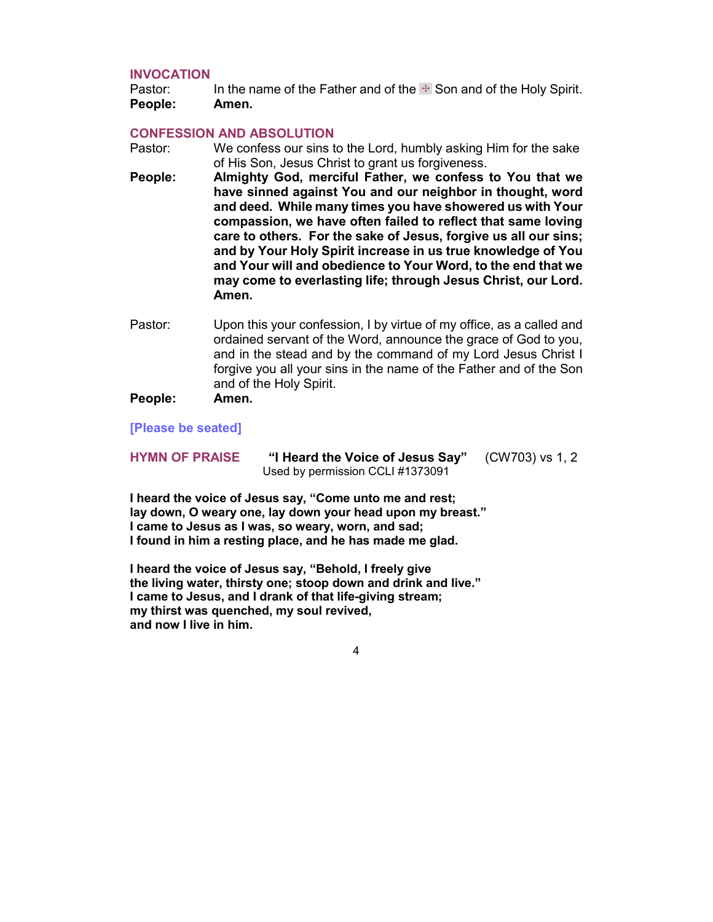### **INVOCATION**

Pastor: In the name of the Father and of the  $\div$  Son and of the Holy Spirit. **People: Amen.**

### **CONFESSION AND ABSOLUTION**

- Pastor: We confess our sins to the Lord, humbly asking Him for the sake of His Son, Jesus Christ to grant us forgiveness.
- **People: Almighty God, merciful Father, we confess to You that we have sinned against You and our neighbor in thought, word and deed. While many times you have showered us with Your compassion, we have often failed to reflect that same loving care to others. For the sake of Jesus, forgive us all our sins; and by Your Holy Spirit increase in us true knowledge of You and Your will and obedience to Your Word, to the end that we may come to everlasting life; through Jesus Christ, our Lord. Amen.**
- Pastor: Upon this your confession, I by virtue of my office, as a called and ordained servant of the Word, announce the grace of God to you, and in the stead and by the command of my Lord Jesus Christ I forgive you all your sins in the name of the Father and of the Son and of the Holy Spirit.

# **People: Amen.**

**[Please be seated]**

**HYMN OF PRAISE "I Heard the Voice of Jesus Say"** (CW703) vs 1, 2 Used by permission CCLI #1373091

**I heard the voice of Jesus say, "Come unto me and rest; lay down, O weary one, lay down your head upon my breast." I came to Jesus as I was, so weary, worn, and sad; I found in him a resting place, and he has made me glad.**

**I heard the voice of Jesus say, "Behold, I freely give the living water, thirsty one; stoop down and drink and live." I came to Jesus, and I drank of that life-giving stream; my thirst was quenched, my soul revived, and now I live in him.**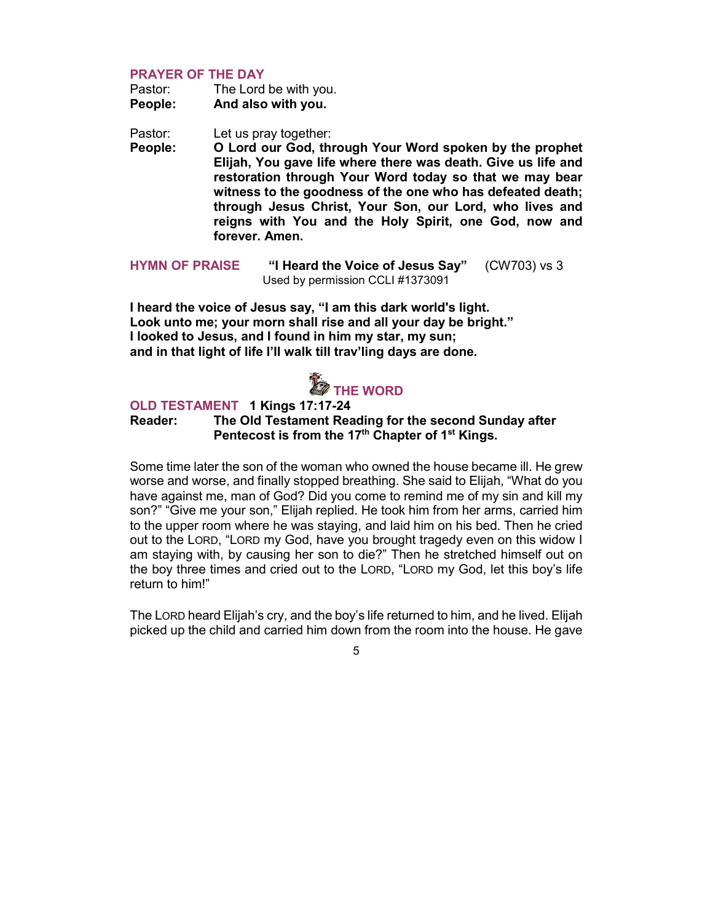# **PRAYER OF THE DAY**

| Pastor: | The Lord be with you. |
|---------|-----------------------|
| People: | And also with you.    |

Pastor: Let us pray together:

**People: O Lord our God, through Your Word spoken by the prophet Elijah, You gave life where there was death. Give us life and restoration through Your Word today so that we may bear witness to the goodness of the one who has defeated death; through Jesus Christ, Your Son, our Lord, who lives and reigns with You and the Holy Spirit, one God, now and forever. Amen.**

**HYMN OF PRAISE "I Heard the Voice of Jesus Say"** (CW703) vs 3 Used by permission CCLI #1373091

**I heard the voice of Jesus say, "I am this dark world's light. Look unto me; your morn shall rise and all your day be bright." I looked to Jesus, and I found in him my star, my sun; and in that light of life I'll walk till trav'ling days are done.**

# *C* THE WORD

# **OLD TESTAMENT 1 Kings 17:17-24 Reader: The Old Testament Reading for the second Sunday after Pentecost is from the 17th Chapter of 1st Kings.**

Some time later the son of the woman who owned the house became ill. He grew worse and worse, and finally stopped breathing. She said to Elijah, "What do you have against me, man of God? Did you come to remind me of my sin and kill my son?" "Give me your son," Elijah replied. He took him from her arms, carried him to the upper room where he was staying, and laid him on his bed. Then he cried out to the LORD, "LORD my God, have you brought tragedy even on this widow I am staying with, by causing her son to die?" Then he stretched himself out on the boy three times and cried out to the LORD, "LORD my God, let this boy's life return to him!"

The LORD heard Elijah's cry, and the boy's life returned to him, and he lived. Elijah picked up the child and carried him down from the room into the house. He gave

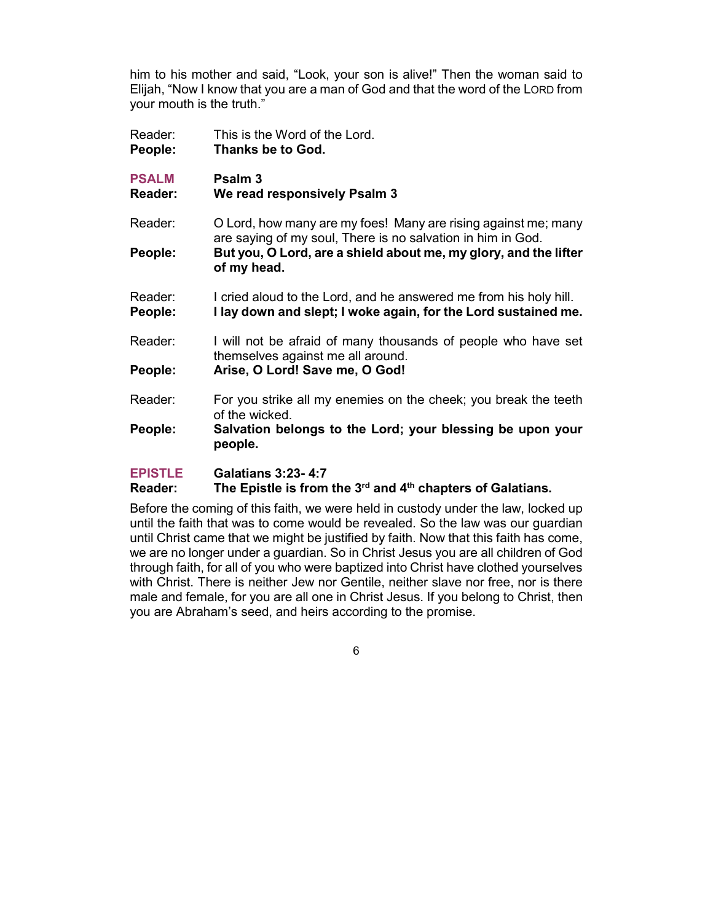him to his mother and said, "Look, your son is alive!" Then the woman said to Elijah, "Now I know that you are a man of God and that the word of the LORD from your mouth is the truth."

- Reader: This is the Word of the Lord. **People: Thanks be to God.**
- **PSALM Psalm 3 Reader: We read responsively Psalm 3**
- Reader: O Lord, how many are my foes! Many are rising against me; many are saying of my soul, There is no salvation in him in God. **People: But you, O Lord, are a shield about me, my glory, and the lifter** 
	- **of my head.**
- Reader: I cried aloud to the Lord, and he answered me from his holy hill. **People: I lay down and slept; I woke again, for the Lord sustained me.**
- Reader: I will not be afraid of many thousands of people who have set themselves against me all around.
- **People: Arise, O Lord! Save me, O God!**
- Reader: For you strike all my enemies on the cheek; you break the teeth of the wicked.
- **People: Salvation belongs to the Lord; your blessing be upon your people.**

# **EPISTLE Galatians 3:23- 4:7**

# **Reader: The Epistle is from the 3rd and 4th chapters of Galatians.**

Before the coming of this faith, we were held in custody under the law, locked up until the faith that was to come would be revealed. So the law was our guardian until Christ came that we might be justified by faith. Now that this faith has come, we are no longer under a guardian. So in Christ Jesus you are all children of God through faith, for all of you who were baptized into Christ have clothed yourselves with Christ. There is neither Jew nor Gentile, neither slave nor free, nor is there male and female, for you are all one in Christ Jesus. If you belong to Christ, then you are Abraham's seed, and heirs according to the promise.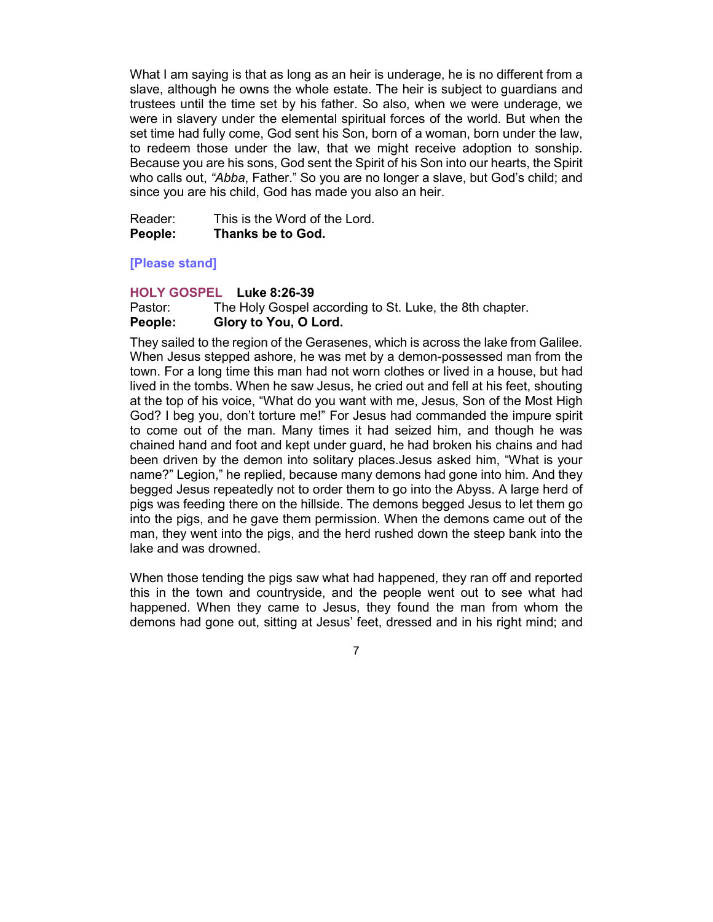What I am saying is that as long as an heir is underage, he is no different from a slave, although he owns the whole estate. The heir is subject to guardians and trustees until the time set by his father. So also, when we were underage, we were in slavery under the elemental spiritual forces of the world. But when the set time had fully come, God sent his Son, born of a woman, born under the law, to redeem those under the law, that we might receive adoption to sonship. Because you are his sons, God sent the Spirit of his Son into our hearts, the Spirit who calls out, *"Abba*, Father." So you are no longer a slave, but God's child; and since you are his child, God has made you also an heir.

| Reader: | This is the Word of the Lord. |
|---------|-------------------------------|
| People: | Thanks be to God.             |

# **[Please stand]**

#### **HOLY GOSPEL Luke 8:26-39**

Pastor: The Holy Gospel according to St. Luke, the 8th chapter. **People: Glory to You, O Lord.**

They sailed to the region of the Gerasenes, which is across the lake from Galilee. When Jesus stepped ashore, he was met by a demon-possessed man from the town. For a long time this man had not worn clothes or lived in a house, but had lived in the tombs. When he saw Jesus, he cried out and fell at his feet, shouting at the top of his voice, "What do you want with me, Jesus, Son of the Most High God? I beg you, don't torture me!" For Jesus had commanded the impure spirit to come out of the man. Many times it had seized him, and though he was chained hand and foot and kept under guard, he had broken his chains and had been driven by the demon into solitary places.Jesus asked him, "What is your name?" Legion," he replied, because many demons had gone into him. And they begged Jesus repeatedly not to order them to go into the Abyss. A large herd of pigs was feeding there on the hillside. The demons begged Jesus to let them go into the pigs, and he gave them permission. When the demons came out of the man, they went into the pigs, and the herd rushed down the steep bank into the lake and was drowned.

When those tending the pigs saw what had happened, they ran off and reported this in the town and countryside, and the people went out to see what had happened. When they came to Jesus, they found the man from whom the demons had gone out, sitting at Jesus' feet, dressed and in his right mind; and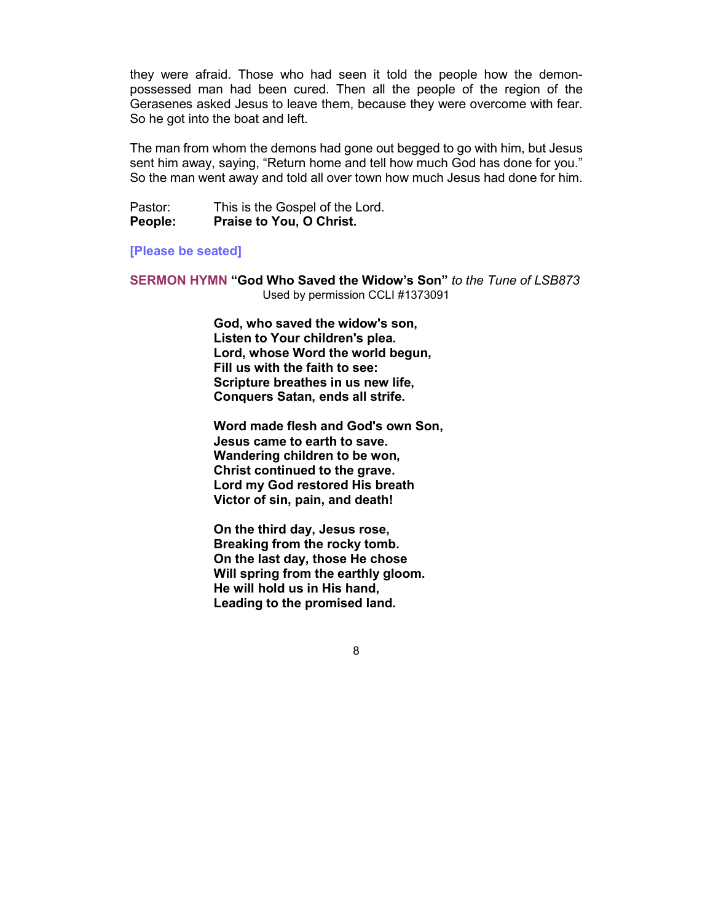they were afraid. Those who had seen it told the people how the demonpossessed man had been cured. Then all the people of the region of the Gerasenes asked Jesus to leave them, because they were overcome with fear. So he got into the boat and left.

The man from whom the demons had gone out begged to go with him, but Jesus sent him away, saying, "Return home and tell how much God has done for you." So the man went away and told all over town how much Jesus had done for him.

Pastor: This is the Gospel of the Lord. **People: Praise to You, O Christ.**

#### **[Please be seated]**

**SERMON HYMN "God Who Saved the Widow's Son"** *to the Tune of LSB873* Used by permission CCLI #1373091

> **God, who saved the widow's son, Listen to Your children's plea. Lord, whose Word the world begun, Fill us with the faith to see: Scripture breathes in us new life, Conquers Satan, ends all strife.**

**Word made flesh and God's own Son, Jesus came to earth to save. Wandering children to be won, Christ continued to the grave. Lord my God restored His breath Victor of sin, pain, and death!**

**On the third day, Jesus rose, Breaking from the rocky tomb. On the last day, those He chose Will spring from the earthly gloom. He will hold us in His hand, Leading to the promised land.**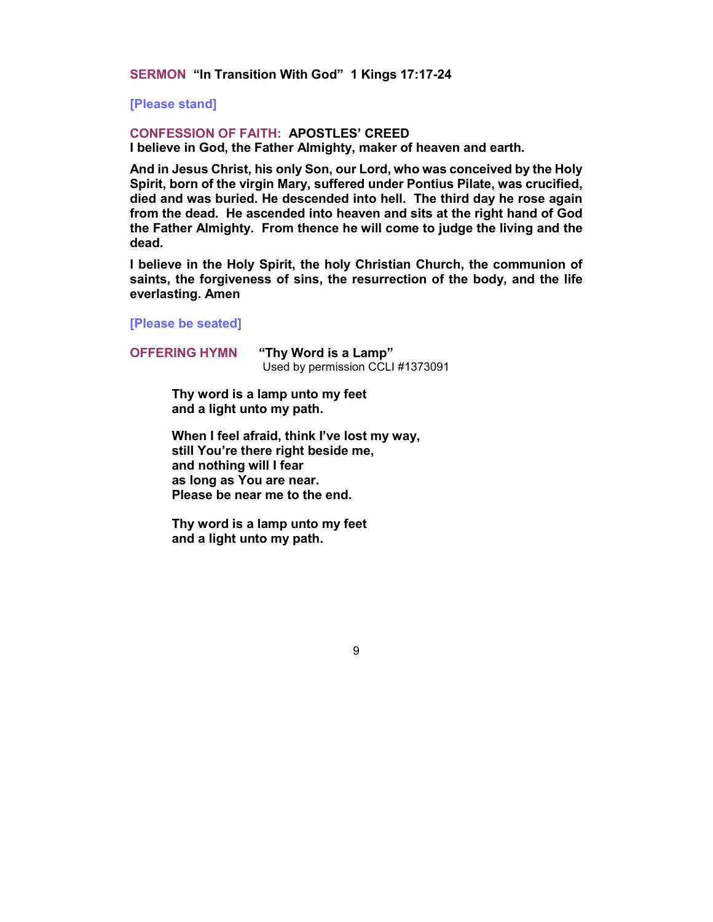**SERMON "In Transition With God" 1 Kings 17:17-24**

**[Please stand]**

# **CONFESSION OF FAITH: APOSTLES' CREED**

**I believe in God, the Father Almighty, maker of heaven and earth.**

**And in Jesus Christ, his only Son, our Lord, who was conceived by the Holy Spirit, born of the virgin Mary, suffered under Pontius Pilate, was crucified, died and was buried. He descended into hell. The third day he rose again from the dead. He ascended into heaven and sits at the right hand of God the Father Almighty. From thence he will come to judge the living and the dead.**

**I believe in the Holy Spirit, the holy Christian Church, the communion of saints, the forgiveness of sins, the resurrection of the body, and the life everlasting. Amen**

9

**[Please be seated]**

**OFFERING HYMN "Thy Word is a Lamp"**  Used by permission CCLI #1373091

> **Thy word is a lamp unto my feet and a light unto my path.**

**When I feel afraid, think I've lost my way, still You're there right beside me, and nothing will I fear as long as You are near. Please be near me to the end.**

**Thy word is a lamp unto my feet and a light unto my path.**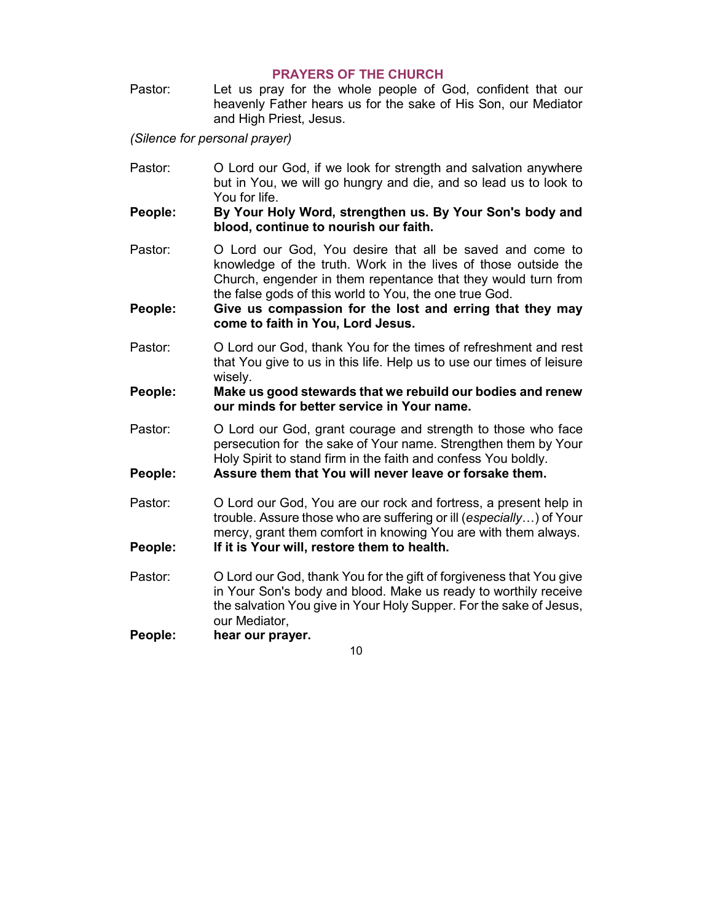# **PRAYERS OF THE CHURCH**

Pastor: Let us pray for the whole people of God, confident that our heavenly Father hears us for the sake of His Son, our Mediator and High Priest, Jesus.

*(Silence for personal prayer)*

- Pastor: O Lord our God, if we look for strength and salvation anywhere but in You, we will go hungry and die, and so lead us to look to You for life.
- **People: By Your Holy Word, strengthen us. By Your Son's body and blood, continue to nourish our faith.**
- Pastor: O Lord our God, You desire that all be saved and come to knowledge of the truth. Work in the lives of those outside the Church, engender in them repentance that they would turn from the false gods of this world to You, the one true God.
- **People: Give us compassion for the lost and erring that they may come to faith in You, Lord Jesus.**
- Pastor: O Lord our God, thank You for the times of refreshment and rest that You give to us in this life. Help us to use our times of leisure wisely.
- **People: Make us good stewards that we rebuild our bodies and renew our minds for better service in Your name.**
- Pastor: O Lord our God, grant courage and strength to those who face persecution for the sake of Your name. Strengthen them by Your Holy Spirit to stand firm in the faith and confess You boldly.

**People: Assure them that You will never leave or forsake them.** 

- Pastor: O Lord our God, You are our rock and fortress, a present help in trouble. Assure those who are suffering or ill (*especially*…) of Your mercy, grant them comfort in knowing You are with them always. **People: If it is Your will, restore them to health.**
- Pastor: O Lord our God, thank You for the gift of forgiveness that You give in Your Son's body and blood. Make us ready to worthily receive the salvation You give in Your Holy Supper. For the sake of Jesus, our Mediator,

**People: hear our prayer.**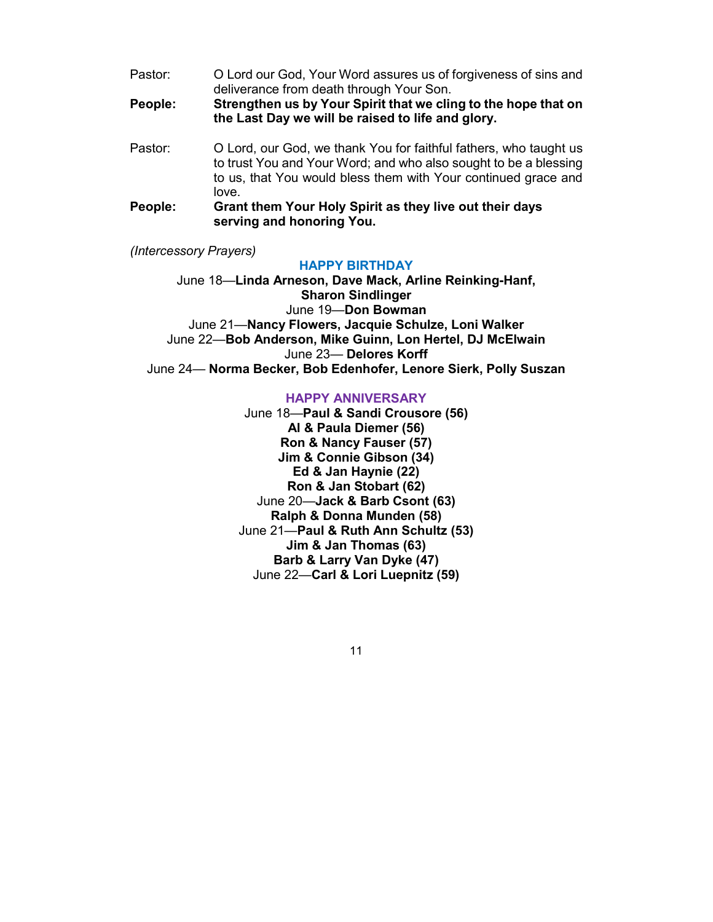Pastor: O Lord our God, Your Word assures us of forgiveness of sins and deliverance from death through Your Son.

**People: Strengthen us by Your Spirit that we cling to the hope that on the Last Day we will be raised to life and glory.**

- Pastor: O Lord, our God, we thank You for faithful fathers, who taught us to trust You and Your Word; and who also sought to be a blessing to us, that You would bless them with Your continued grace and love.
- **People: Grant them Your Holy Spirit as they live out their days serving and honoring You.**

*(Intercessory Prayers)*

#### **HAPPY BIRTHDAY**

June 18—**Linda Arneson, Dave Mack, Arline Reinking-Hanf, Sharon Sindlinger** June 19—**Don Bowman** June 21—**Nancy Flowers, Jacquie Schulze, Loni Walker** June 22—**Bob Anderson, Mike Guinn, Lon Hertel, DJ McElwain** June 23— **Delores Korff** June 24— **Norma Becker, Bob Edenhofer, Lenore Sierk, Polly Suszan**

# **HAPPY ANNIVERSARY**

June 18—**Paul & Sandi Crousore (56) Al & Paula Diemer (56) Ron & Nancy Fauser (57) Jim & Connie Gibson (34) Ed & Jan Haynie (22) Ron & Jan Stobart (62)** June 20—**Jack & Barb Csont (63) Ralph & Donna Munden (58)** June 21—**Paul & Ruth Ann Schultz (53) Jim & Jan Thomas (63) Barb & Larry Van Dyke (47)** June 22—**Carl & Lori Luepnitz (59)**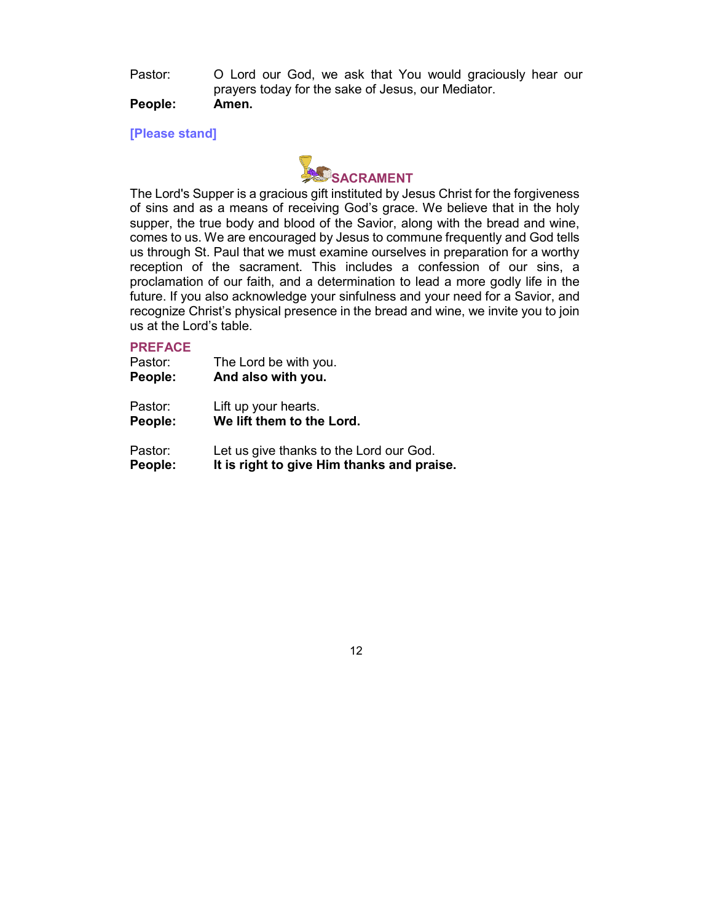Pastor: O Lord our God, we ask that You would graciously hear our prayers today for the sake of Jesus, our Mediator.

# **People: Amen.**

**[Please stand]**



The Lord's Supper is a gracious gift instituted by Jesus Christ for the forgiveness of sins and as a means of receiving God's grace. We believe that in the holy supper, the true body and blood of the Savior, along with the bread and wine, comes to us. We are encouraged by Jesus to commune frequently and God tells us through St. Paul that we must examine ourselves in preparation for a worthy reception of the sacrament. This includes a confession of our sins, a proclamation of our faith, and a determination to lead a more godly life in the future. If you also acknowledge your sinfulness and your need for a Savior, and recognize Christ's physical presence in the bread and wine, we invite you to join us at the Lord's table.

# **PREFACE**

| Pastor: | The Lord be with you.                      |
|---------|--------------------------------------------|
| People: | And also with you.                         |
| Pastor: | Lift up your hearts.                       |
| People: | We lift them to the Lord.                  |
| Pastor: | Let us give thanks to the Lord our God.    |
| People: | It is right to give Him thanks and praise. |

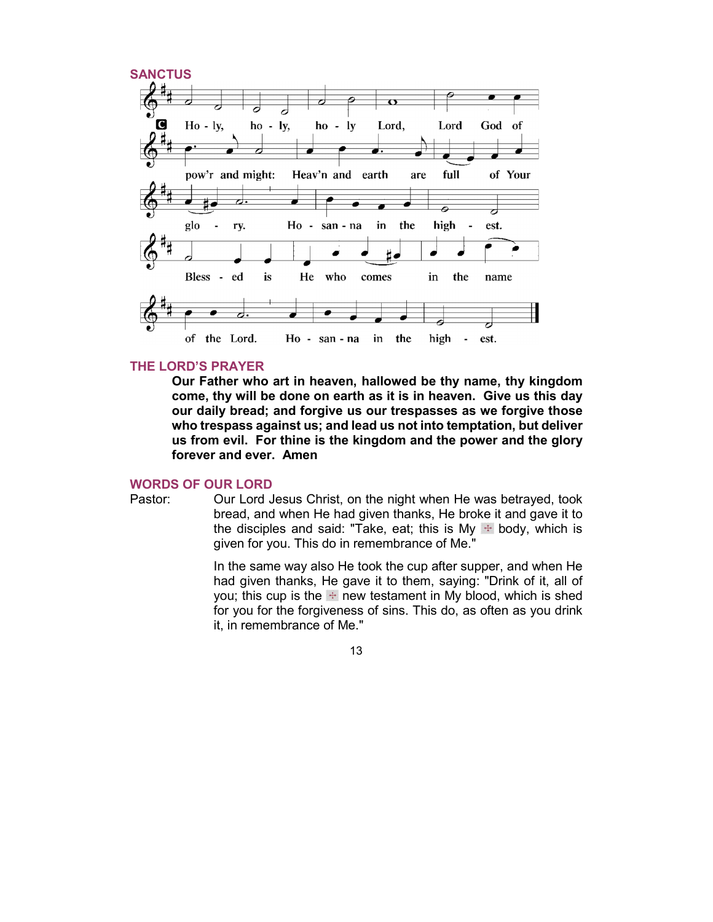

### **THE LORD'S PRAYER**

**Our Father who art in heaven, hallowed be thy name, thy kingdom come, thy will be done on earth as it is in heaven. Give us this day our daily bread; and forgive us our trespasses as we forgive those who trespass against us; and lead us not into temptation, but deliver us from evil. For thine is the kingdom and the power and the glory forever and ever. Amen**

#### **WORDS OF OUR LORD**

Pastor: Our Lord Jesus Christ, on the night when He was betrayed, took bread, and when He had given thanks, He broke it and gave it to the disciples and said: "Take, eat; this is My  $\div$  body, which is given for you. This do in remembrance of Me."

> In the same way also He took the cup after supper, and when He had given thanks, He gave it to them, saying: "Drink of it, all of you; this cup is the  $\div$  new testament in My blood, which is shed for you for the forgiveness of sins. This do, as often as you drink it, in remembrance of Me."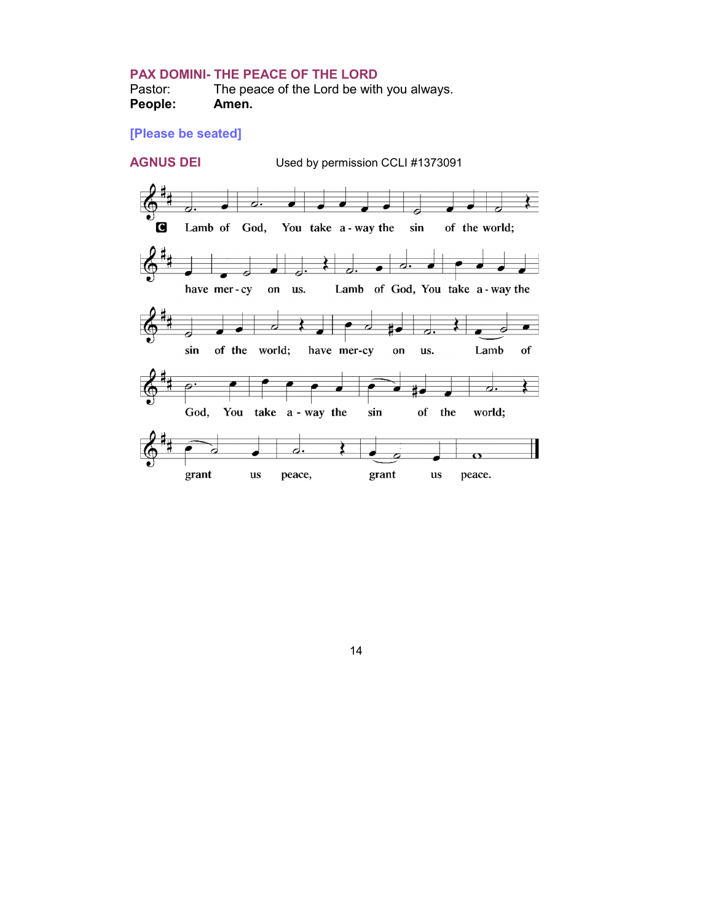# **PAX DOMINI- THE PEACE OF THE LORD**

Pastor: The peace of the Lord be with you always.<br> **People:** Amen. **People:** 

# **[Please be seated]**

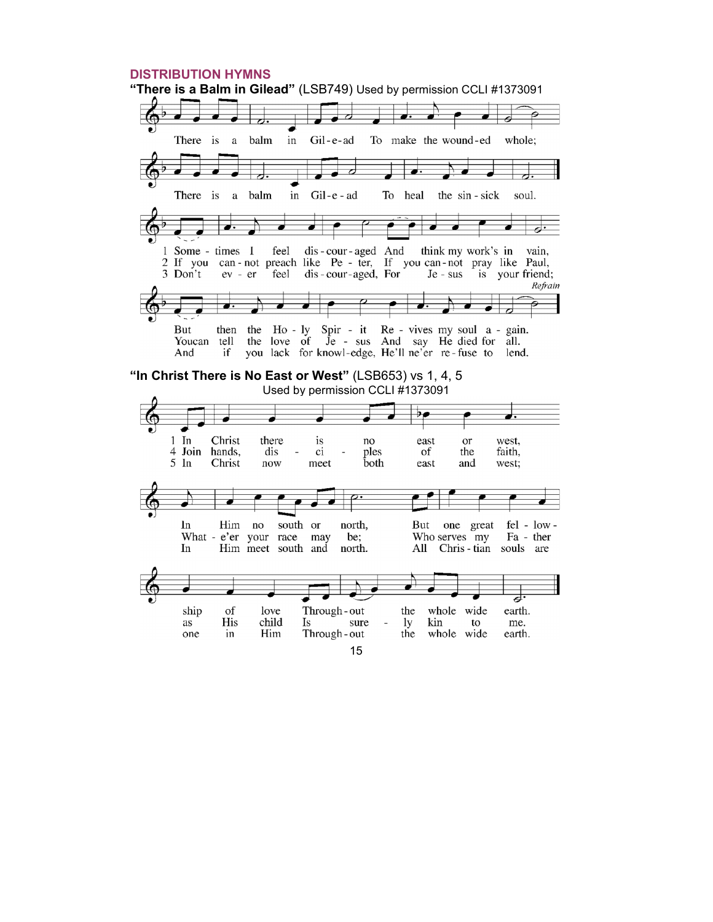#### **DISTRIBUTION HYMNS "There is a Balm in Gilead"** (LSB749) Used by permission CCLI #1373091 There is a balm Gil-e-ad To make the wound-ed whole; in ◢ ↲  $\overrightarrow{ }$  $\overrightarrow{ }$  $\overline{\phantom{a}}$ z There is balm  $in$ Gil-e-ad To heal the sin - sick soul.  $\mathbf a$ dis-cour-aged And 1 Some - times I feel think my work's in vain, 2 If you can - not preach like Pe - ter, If you can - not pray like Paul,<br>3 Don't ev - er feel dis - cour - aged, For Je - sus is your friend; is your friend; Refrain then the Ho-ly Spir - it Re - vives my soul a - gain. **But** the love of  $\overline{J}e$  - sus And say He died for all. Youcan tell And if you lack for knowl-edge, He'll ne'er re-fuse to lend. **"In Christ There is No East or West"** (LSB653) vs 1, 4, 5 Used by permission CCLI #1373091 $\overline{\mathcal{P}}$ .  $1$  In Christ there is east or west, no ples 4 Join hands, dis  $\overline{\phantom{a}}$ ci of the faith,  $5 \text{ In}$ **both** Christ  $\operatorname{now}$ meet east and west;  $\overline{\bullet}$  $ln$ Him  $no$ south or north, But one great  $fel - low -$ What - e'er your race may be; Who serves my Fa - ther  $In$ Him meet south and north. All Chris-tian souls are ਰ Through-out ship of love the whole wide earth. child His Is sure lу kin to me. as  $\overline{a}$ Through-out one in Him the whole wide earth.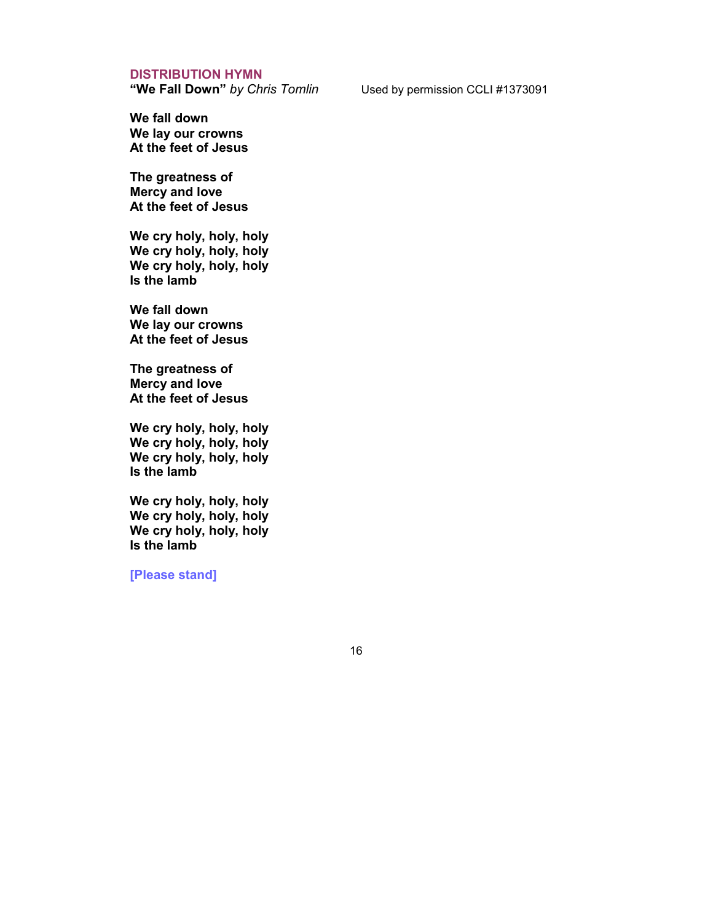**DISTRIBUTION HYMN**<br>"We Fall Down" by Chris Tomlin

Used by permission CCLI #1373091

**We fall down We lay our crowns At the feet of Jesus**

**The greatness of Mercy and love At the feet of Jesus**

**We cry holy, holy, holy We cry holy, holy, holy We cry holy, holy, holy Is the lamb**

**We fall down We lay our crowns At the feet of Jesus**

**The greatness of Mercy and love At the feet of Jesus**

**We cry holy, holy, holy We cry holy, holy, holy We cry holy, holy, holy Is the lamb**

**We cry holy, holy, holy We cry holy, holy, holy We cry holy, holy, holy Is the lamb**

**[Please stand]**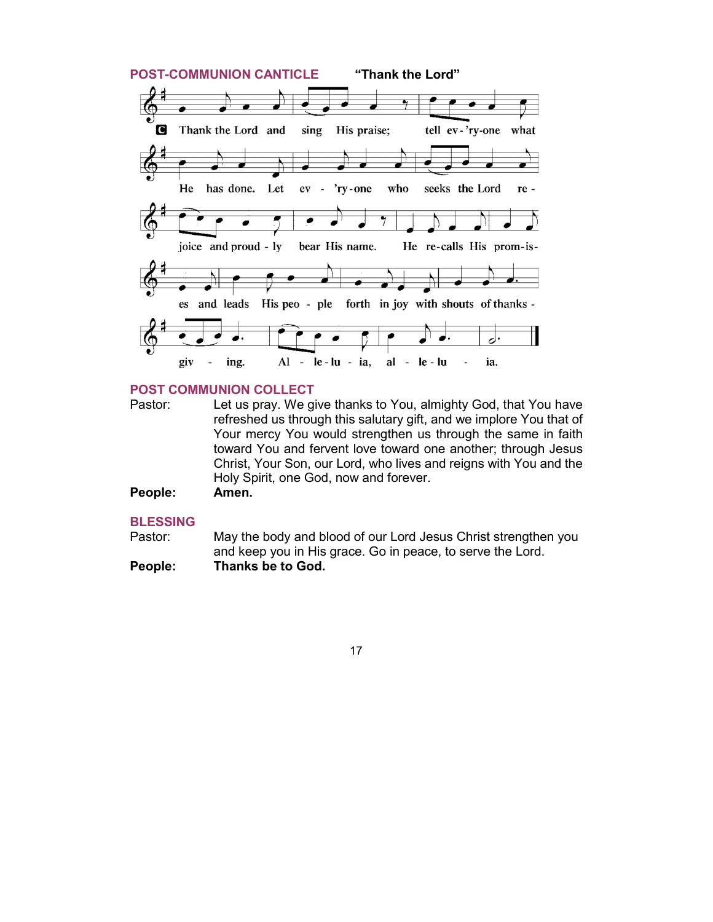

# **POST COMMUNION COLLECT**

- Pastor: Let us pray. We give thanks to You, almighty God, that You have refreshed us through this salutary gift, and we implore You that of Your mercy You would strengthen us through the same in faith toward You and fervent love toward one another; through Jesus Christ, Your Son, our Lord, who lives and reigns with You and the Holy Spirit, one God, now and forever.
- **People: Amen.**

# **BLESSING**

- Pastor: May the body and blood of our Lord Jesus Christ strengthen you and keep you in His grace. Go in peace, to serve the Lord. **People: Thanks be to God.**
	- 17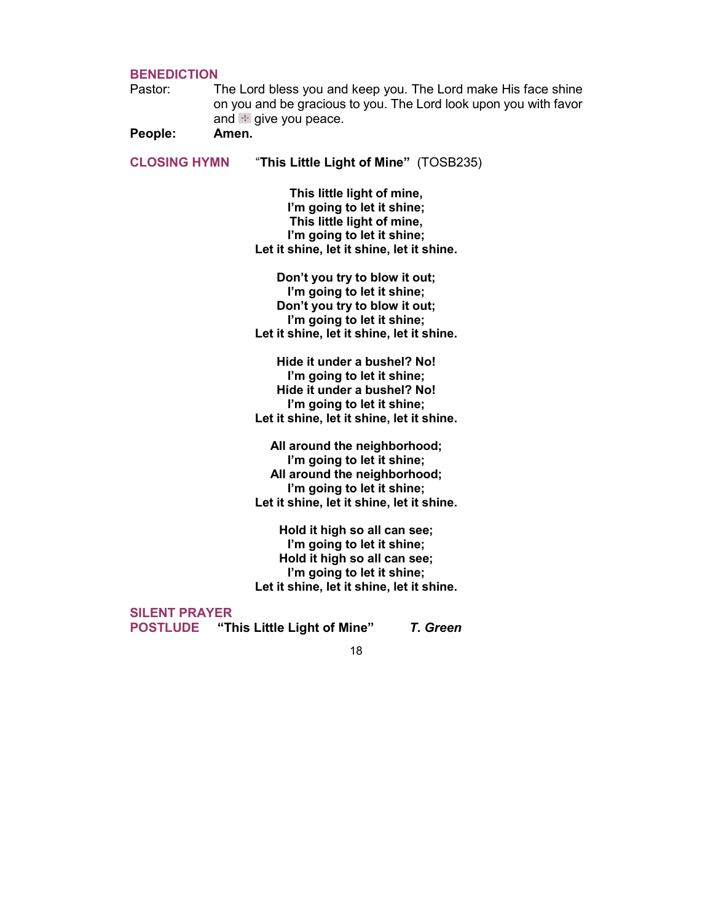# **BENEDICTION**

Pastor: The Lord bless you and keep you. The Lord make His face shine on you and be gracious to you. The Lord look upon you with favor and  $\pm$  give you peace.

**People: Amen.**

**CLOSING HYMN** "**This Little Light of Mine"** (TOSB235)

**This little light of mine, I'm going to let it shine; This little light of mine, I'm going to let it shine; Let it shine, let it shine, let it shine.**

**Don't you try to blow it out; I'm going to let it shine; Don't you try to blow it out; I'm going to let it shine; Let it shine, let it shine, let it shine.**

**Hide it under a bushel? No! I'm going to let it shine; Hide it under a bushel? No! I'm going to let it shine; Let it shine, let it shine, let it shine.**

**All around the neighborhood; I'm going to let it shine; All around the neighborhood; I'm going to let it shine; Let it shine, let it shine, let it shine.**

**Hold it high so all can see; I'm going to let it shine; Hold it high so all can see; I'm going to let it shine; Let it shine, let it shine, let it shine.**

**SILENT PRAYER**

**POSTLUDE "This Little Light of Mine"** *T. Green*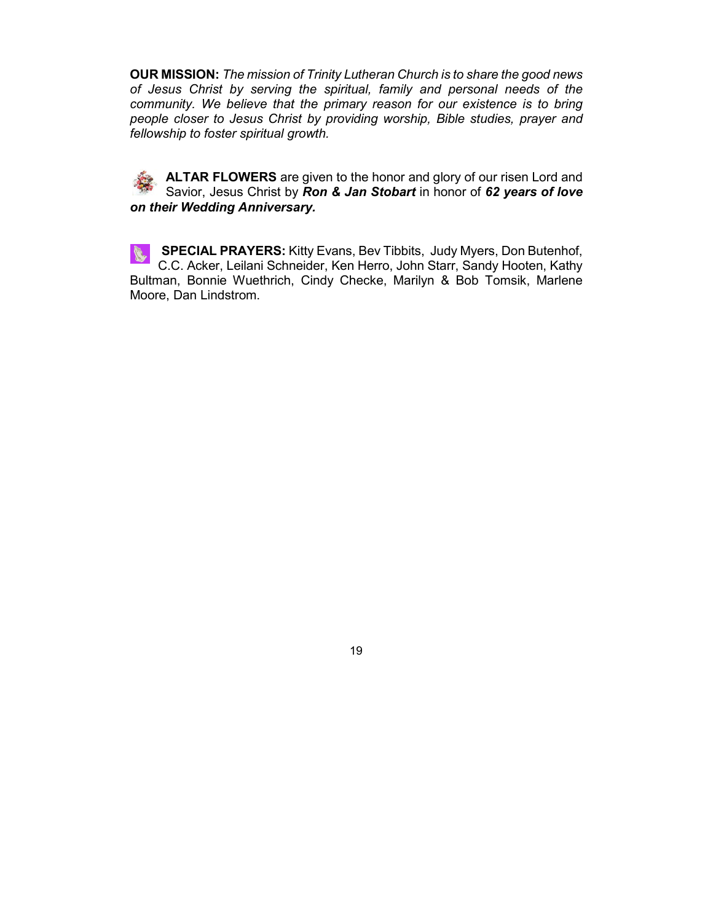**OUR MISSION:** *The mission of Trinity Lutheran Church is to share the good news of Jesus Christ by serving the spiritual, family and personal needs of the community. We believe that the primary reason for our existence is to bring people closer to Jesus Christ by providing worship, Bible studies, prayer and fellowship to foster spiritual growth.*

**ALTAR FLOWERS** are given to the honor and glory of our risen Lord and Savior, Jesus Christ by *Ron & Jan Stobart* in honor of *62 years of love on their Wedding Anniversary.* 

**SPECIAL PRAYERS:** Kitty Evans, Bev Tibbits, Judy Myers, Don Butenhof, C.C. Acker, Leilani Schneider, Ken Herro, John Starr, Sandy Hooten, Kathy Bultman, Bonnie Wuethrich, Cindy Checke, Marilyn & Bob Tomsik, Marlene Moore, Dan Lindstrom.